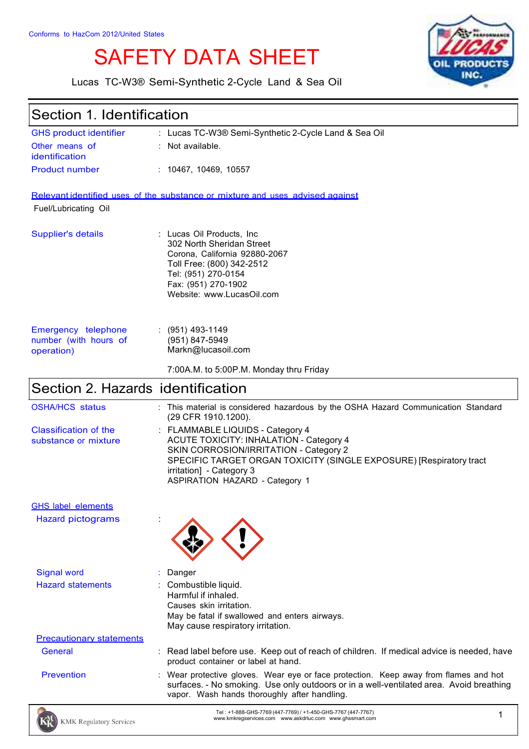# SAFETY DATA SHEET



Lucas TC-W3® Semi-Synthetic 2-Cycle Land & Sea Oil

| <b>GHS product identifier</b>                              | : Lucas TC-W3® Semi-Synthetic 2-Cycle Land & Sea Oil                                                                                                                                                                                                                     |
|------------------------------------------------------------|--------------------------------------------------------------------------------------------------------------------------------------------------------------------------------------------------------------------------------------------------------------------------|
| Other means of<br>identification                           | : Not available.                                                                                                                                                                                                                                                         |
| <b>Product number</b>                                      | : 10467, 10469, 10557                                                                                                                                                                                                                                                    |
|                                                            | Relevant identified uses of the substance or mixture and uses advised against                                                                                                                                                                                            |
| Fuel/Lubricating Oil                                       |                                                                                                                                                                                                                                                                          |
| <b>Supplier's details</b>                                  | : Lucas Oil Products, Inc.<br>302 North Sheridan Street<br>Corona, California 92880-2067<br>Toll Free: (800) 342-2512<br>Tel: (951) 270-0154<br>Fax: (951) 270-1902<br>Website: www.LucasOil.com                                                                         |
| Emergency telephone<br>number (with hours of<br>operation) | $: (951)$ 493-1149<br>(951) 847-5949<br>Markn@lucasoil.com                                                                                                                                                                                                               |
|                                                            | 7:00A.M. to 5:00P.M. Monday thru Friday                                                                                                                                                                                                                                  |
| Section 2. Hazards identification                          |                                                                                                                                                                                                                                                                          |
| <b>OSHA/HCS status</b>                                     | This material is considered hazardous by the OSHA Hazard Communication Standard<br>(29 CFR 1910.1200).                                                                                                                                                                   |
| <b>Classification of the</b><br>substance or mixture       | : FLAMMABLE LIQUIDS - Category 4<br><b>ACUTE TOXICITY: INHALATION - Category 4</b><br>SKIN CORROSION/IRRITATION - Category 2<br>SPECIFIC TARGET ORGAN TOXICITY (SINGLE EXPOSURE) [Respiratory tract<br>irritation] - Category 3<br><b>ASPIRATION HAZARD - Category 1</b> |
| <b>GHS label elements</b>                                  |                                                                                                                                                                                                                                                                          |
| <b>Hazard pictograms</b>                                   |                                                                                                                                                                                                                                                                          |
| <b>Signal word</b>                                         | Danger                                                                                                                                                                                                                                                                   |
| <b>Hazard statements</b>                                   | Combustible liquid.<br>Harmful if inhaled.<br>Causes skin irritation.<br>May be fatal if swallowed and enters airways.<br>May cause respiratory irritation.                                                                                                              |
| <b>Precautionary statements</b>                            |                                                                                                                                                                                                                                                                          |
| <b>General</b>                                             | : Read label before use. Keep out of reach of children. If medical advice is needed, have<br>product container or label at hand.                                                                                                                                         |
| <b>Prevention</b>                                          | Wear protective gloves. Wear eye or face protection. Keep away from flames and hot<br>surfaces. - No smoking. Use only outdoors or in a well-ventilated area. Avoid breathing<br>vapor. Wash hands thoroughly after handling.                                            |
| <b>KMK Regulatory Services</b>                             | Tel: +1-888-GHS-7769 (447-7769) / +1-450-GHS-7767 (447-7767)<br>1<br>www.kmkregservices.com www.askdrluc.com www.ghssmart.com                                                                                                                                            |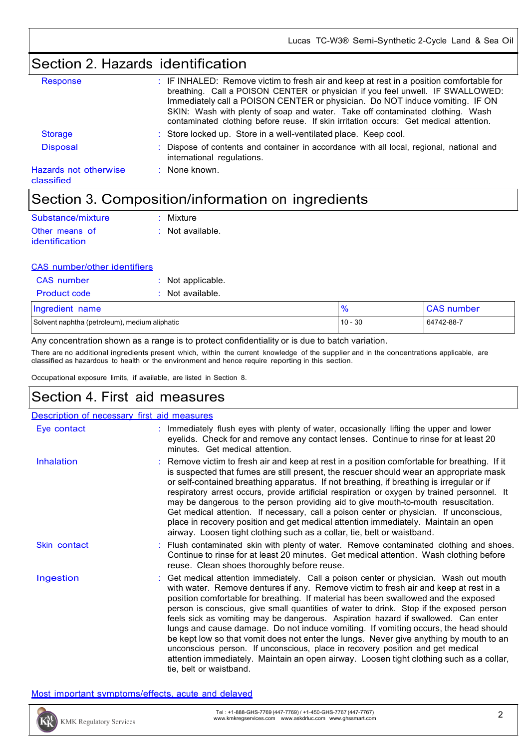# Section 2. Hazards identification

| Response                            | : IF INHALED: Remove victim to fresh air and keep at rest in a position comfortable for<br>breathing. Call a POISON CENTER or physician if you feel unwell. IF SWALLOWED:<br>Immediately call a POISON CENTER or physician. Do NOT induce vomiting. IF ON<br>SKIN: Wash with plenty of soap and water. Take off contaminated clothing. Wash<br>contaminated clothing before reuse. If skin irritation occurs: Get medical attention. |
|-------------------------------------|--------------------------------------------------------------------------------------------------------------------------------------------------------------------------------------------------------------------------------------------------------------------------------------------------------------------------------------------------------------------------------------------------------------------------------------|
| <b>Storage</b>                      | : Store locked up. Store in a well-ventilated place. Keep cool.                                                                                                                                                                                                                                                                                                                                                                      |
| <b>Disposal</b>                     | : Dispose of contents and container in accordance with all local, regional, national and<br>international regulations.                                                                                                                                                                                                                                                                                                               |
| Hazards not otherwise<br>classified | $:$ None known.                                                                                                                                                                                                                                                                                                                                                                                                                      |

### Section 3. Composition/information on ingredients

| Substance/mixture | $:$ Mixture        |
|-------------------|--------------------|
| Other means of    | $:$ Not available. |
| identification    |                    |

#### CAS number/other identifiers

| CAS number          | $:$ Not applicable. |
|---------------------|---------------------|
| <b>Product code</b> | $:$ Not available.  |
|                     |                     |

| Ingredient name                               | $\mathbf{0}_{L}$ | <b>CAS number</b> |
|-----------------------------------------------|------------------|-------------------|
| Solvent naphtha (petroleum), medium aliphatic | $10 - 30$        | 64742-88-7        |

Any concentration shown as a range is to protect confidentiality or is due to batch variation.

There are no additional ingredients present which, within the current knowledge of the supplier and in the concentrations applicable, are classified as hazardous to health or the environment and hence require reporting in this section.

Occupational exposure limits, if available, are listed in Section 8.

### Section 4. First aid measures

| Description of necessary first aid measures |                                                                                                                                                                                                                                                                                                                                                                                                                                                                                                                                                                                                                                                                                                                                                                                                                                                 |
|---------------------------------------------|-------------------------------------------------------------------------------------------------------------------------------------------------------------------------------------------------------------------------------------------------------------------------------------------------------------------------------------------------------------------------------------------------------------------------------------------------------------------------------------------------------------------------------------------------------------------------------------------------------------------------------------------------------------------------------------------------------------------------------------------------------------------------------------------------------------------------------------------------|
| Eye contact                                 | Immediately flush eyes with plenty of water, occasionally lifting the upper and lower<br>eyelids. Check for and remove any contact lenses. Continue to rinse for at least 20<br>minutes. Get medical attention.                                                                                                                                                                                                                                                                                                                                                                                                                                                                                                                                                                                                                                 |
| <b>Inhalation</b>                           | : Remove victim to fresh air and keep at rest in a position comfortable for breathing. If it<br>is suspected that fumes are still present, the rescuer should wear an appropriate mask<br>or self-contained breathing apparatus. If not breathing, if breathing is irregular or if<br>respiratory arrest occurs, provide artificial respiration or oxygen by trained personnel. It<br>may be dangerous to the person providing aid to give mouth-to-mouth resuscitation.<br>Get medical attention. If necessary, call a poison center or physician. If unconscious,<br>place in recovery position and get medical attention immediately. Maintain an open<br>airway. Loosen tight clothing such as a collar, tie, belt or waistband.                                                                                                            |
| Skin contact                                | : Flush contaminated skin with plenty of water. Remove contaminated clothing and shoes.<br>Continue to rinse for at least 20 minutes. Get medical attention. Wash clothing before<br>reuse. Clean shoes thoroughly before reuse.                                                                                                                                                                                                                                                                                                                                                                                                                                                                                                                                                                                                                |
| Ingestion                                   | : Get medical attention immediately. Call a poison center or physician. Wash out mouth<br>with water. Remove dentures if any. Remove victim to fresh air and keep at rest in a<br>position comfortable for breathing. If material has been swallowed and the exposed<br>person is conscious, give small quantities of water to drink. Stop if the exposed person<br>feels sick as vomiting may be dangerous. Aspiration hazard if swallowed. Can enter<br>lungs and cause damage. Do not induce vomiting. If vomiting occurs, the head should<br>be kept low so that vomit does not enter the lungs. Never give anything by mouth to an<br>unconscious person. If unconscious, place in recovery position and get medical<br>attention immediately. Maintain an open airway. Loosen tight clothing such as a collar,<br>tie, belt or waistband. |

Most important symptoms/effects, acute and delayed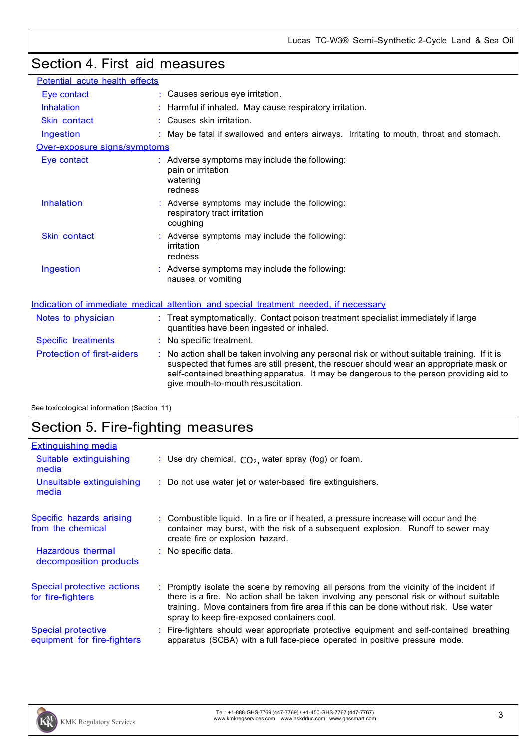# Section 4. First aid measures

| Potential acute health effects    |                                                                                                                                                                                                                                                                                                                       |
|-----------------------------------|-----------------------------------------------------------------------------------------------------------------------------------------------------------------------------------------------------------------------------------------------------------------------------------------------------------------------|
| Eye contact                       | Causes serious eye irritation.                                                                                                                                                                                                                                                                                        |
| Inhalation                        | Harmful if inhaled. May cause respiratory irritation.                                                                                                                                                                                                                                                                 |
| Skin contact                      | Causes skin irritation.                                                                                                                                                                                                                                                                                               |
| Ingestion                         | : May be fatal if swallowed and enters airways. Irritating to mouth, throat and stomach.                                                                                                                                                                                                                              |
| Over-exposure signs/symptoms      |                                                                                                                                                                                                                                                                                                                       |
| Eye contact                       | : Adverse symptoms may include the following:<br>pain or irritation<br>watering<br>redness                                                                                                                                                                                                                            |
| Inhalation                        | Adverse symptoms may include the following:<br>respiratory tract irritation<br>coughing                                                                                                                                                                                                                               |
| Skin contact                      | Adverse symptoms may include the following:<br>irritation<br>redness                                                                                                                                                                                                                                                  |
| Ingestion                         | : Adverse symptoms may include the following:<br>nausea or vomiting                                                                                                                                                                                                                                                   |
|                                   | Indication of immediate medical attention and special treatment needed, if necessary                                                                                                                                                                                                                                  |
| Notes to physician                | : Treat symptomatically. Contact poison treatment specialist immediately if large<br>quantities have been ingested or inhaled.                                                                                                                                                                                        |
| Specific treatments               | : No specific treatment.                                                                                                                                                                                                                                                                                              |
| <b>Protection of first-aiders</b> | No action shall be taken involving any personal risk or without suitable training. If it is<br>suspected that fumes are still present, the rescuer should wear an appropriate mask or<br>self-contained breathing apparatus. It may be dangerous to the person providing aid to<br>give mouth-to-mouth resuscitation. |

See toxicological information (Section 11)

### Section 5. Fire-fighting measures

| <b>Extinguishing media</b>                        |                                                                                                                                                                                                                                                                                                                               |
|---------------------------------------------------|-------------------------------------------------------------------------------------------------------------------------------------------------------------------------------------------------------------------------------------------------------------------------------------------------------------------------------|
| Suitable extinguishing<br>media                   | : Use dry chemical, $CO2$ , water spray (fog) or foam.                                                                                                                                                                                                                                                                        |
| Unsuitable extinguishing<br>media                 | : Do not use water jet or water-based fire extinguishers.                                                                                                                                                                                                                                                                     |
| Specific hazards arising<br>from the chemical     | : Combustible liquid. In a fire or if heated, a pressure increase will occur and the<br>container may burst, with the risk of a subsequent explosion. Runoff to sewer may<br>create fire or explosion hazard.                                                                                                                 |
| Hazardous thermal<br>decomposition products       | : No specific data.                                                                                                                                                                                                                                                                                                           |
| Special protective actions<br>for fire-fighters   | : Promptly isolate the scene by removing all persons from the vicinity of the incident if<br>there is a fire. No action shall be taken involving any personal risk or without suitable<br>training. Move containers from fire area if this can be done without risk. Use water<br>spray to keep fire-exposed containers cool. |
| Special protective<br>equipment for fire-fighters | : Fire-fighters should wear appropriate protective equipment and self-contained breathing<br>apparatus (SCBA) with a full face-piece operated in positive pressure mode.                                                                                                                                                      |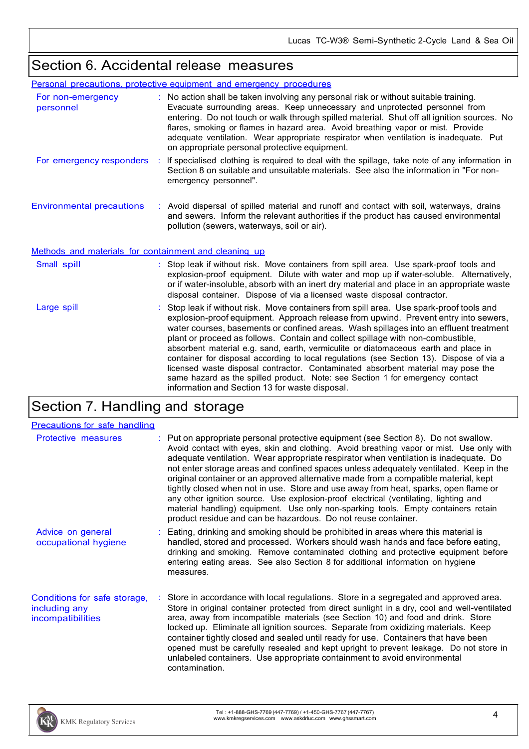### Section 6. Accidental release measures

|                                                       | Personal precautions, protective equipment and emergency procedures                                                                                                                                                                                                                                                                                                                                                                                                                                                                                                                                                                                                                                                                                                |
|-------------------------------------------------------|--------------------------------------------------------------------------------------------------------------------------------------------------------------------------------------------------------------------------------------------------------------------------------------------------------------------------------------------------------------------------------------------------------------------------------------------------------------------------------------------------------------------------------------------------------------------------------------------------------------------------------------------------------------------------------------------------------------------------------------------------------------------|
| For non-emergency<br>personnel                        | : No action shall be taken involving any personal risk or without suitable training.<br>Evacuate surrounding areas. Keep unnecessary and unprotected personnel from<br>entering. Do not touch or walk through spilled material. Shut off all ignition sources. No<br>flares, smoking or flames in hazard area. Avoid breathing vapor or mist. Provide<br>adequate ventilation. Wear appropriate respirator when ventilation is inadequate. Put<br>on appropriate personal protective equipment.                                                                                                                                                                                                                                                                    |
| For emergency responders                              | If specialised clothing is required to deal with the spillage, take note of any information in<br>Section 8 on suitable and unsuitable materials. See also the information in "For non-<br>emergency personnel".                                                                                                                                                                                                                                                                                                                                                                                                                                                                                                                                                   |
| <b>Environmental precautions</b>                      | : Avoid dispersal of spilled material and runoff and contact with soil, waterways, drains<br>and sewers. Inform the relevant authorities if the product has caused environmental<br>pollution (sewers, waterways, soil or air).                                                                                                                                                                                                                                                                                                                                                                                                                                                                                                                                    |
| Methods and materials for containment and cleaning up |                                                                                                                                                                                                                                                                                                                                                                                                                                                                                                                                                                                                                                                                                                                                                                    |
| Small spill                                           | : Stop leak if without risk. Move containers from spill area. Use spark-proof tools and<br>explosion-proof equipment. Dilute with water and mop up if water-soluble. Alternatively,<br>or if water-insoluble, absorb with an inert dry material and place in an appropriate waste<br>disposal container. Dispose of via a licensed waste disposal contractor.                                                                                                                                                                                                                                                                                                                                                                                                      |
| Large spill                                           | Stop leak if without risk. Move containers from spill area. Use spark-proof tools and<br>explosion-proof equipment. Approach release from upwind. Prevent entry into sewers,<br>water courses, basements or confined areas. Wash spillages into an effluent treatment<br>plant or proceed as follows. Contain and collect spillage with non-combustible,<br>absorbent material e.g. sand, earth, vermiculite or diatomaceous earth and place in<br>container for disposal according to local regulations (see Section 13). Dispose of via a<br>licensed waste disposal contractor. Contaminated absorbent material may pose the<br>same hazard as the spilled product. Note: see Section 1 for emergency contact<br>information and Section 13 for waste disposal. |

# Section 7. Handling and storage

| <b>Precautions for safe handling</b>                               |                                                                                                                                                                                                                                                                                                                                                                                                                                                                                                                                                                                                                                                                                                                                                                                               |
|--------------------------------------------------------------------|-----------------------------------------------------------------------------------------------------------------------------------------------------------------------------------------------------------------------------------------------------------------------------------------------------------------------------------------------------------------------------------------------------------------------------------------------------------------------------------------------------------------------------------------------------------------------------------------------------------------------------------------------------------------------------------------------------------------------------------------------------------------------------------------------|
| <b>Protective measures</b>                                         | : Put on appropriate personal protective equipment (see Section 8). Do not swallow.<br>Avoid contact with eyes, skin and clothing. Avoid breathing vapor or mist. Use only with<br>adequate ventilation. Wear appropriate respirator when ventilation is inadequate. Do<br>not enter storage areas and confined spaces unless adequately ventilated. Keep in the<br>original container or an approved alternative made from a compatible material, kept<br>tightly closed when not in use. Store and use away from heat, sparks, open flame or<br>any other ignition source. Use explosion-proof electrical (ventilating, lighting and<br>material handling) equipment. Use only non-sparking tools. Empty containers retain<br>product residue and can be hazardous. Do not reuse container. |
| Advice on general<br>occupational hygiene                          | : Eating, drinking and smoking should be prohibited in areas where this material is<br>handled, stored and processed. Workers should wash hands and face before eating,<br>drinking and smoking. Remove contaminated clothing and protective equipment before<br>entering eating areas. See also Section 8 for additional information on hygiene<br>measures.                                                                                                                                                                                                                                                                                                                                                                                                                                 |
| Conditions for safe storage,<br>including any<br>incompatibilities | : Store in accordance with local regulations. Store in a segregated and approved area.<br>Store in original container protected from direct sunlight in a dry, cool and well-ventilated<br>area, away from incompatible materials (see Section 10) and food and drink. Store<br>locked up. Eliminate all ignition sources. Separate from oxidizing materials. Keep<br>container tightly closed and sealed until ready for use. Containers that have been<br>opened must be carefully resealed and kept upright to prevent leakage. Do not store in<br>unlabeled containers. Use appropriate containment to avoid environmental<br>contamination.                                                                                                                                              |

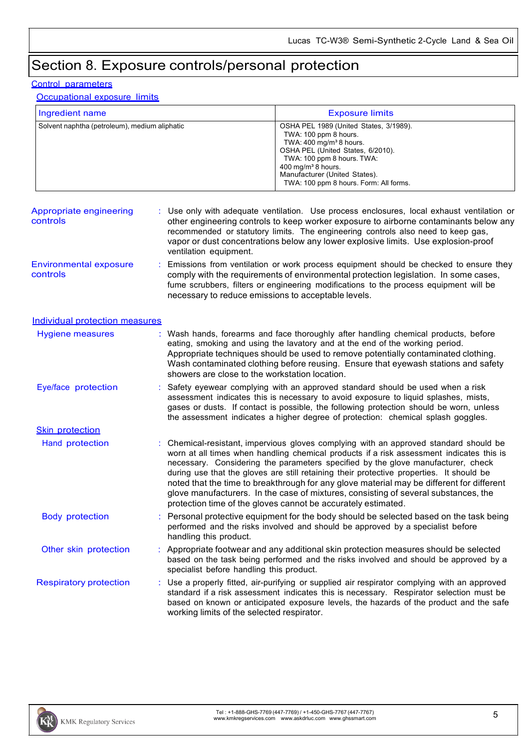# Section 8. Exposure controls/personal protection

#### Control parameters

Occupational exposure limits

| Ingredient name                               | <b>Exposure limits</b>                                                                                                                                                                                                                                                                |
|-----------------------------------------------|---------------------------------------------------------------------------------------------------------------------------------------------------------------------------------------------------------------------------------------------------------------------------------------|
| Solvent naphtha (petroleum), medium aliphatic | OSHA PEL 1989 (United States, 3/1989).<br>TWA: 100 ppm 8 hours.<br>TWA: $400 \text{ mg/m}^3$ 8 hours.<br>OSHA PEL (United States, 6/2010).<br>TWA: 100 ppm 8 hours. TWA:<br>400 mg/m <sup>3</sup> 8 hours.<br>Manufacturer (United States).<br>TWA: 100 ppm 8 hours. Form: All forms. |

| Appropriate engineering<br>controls       | : Use only with adequate ventilation. Use process enclosures, local exhaust ventilation or<br>other engineering controls to keep worker exposure to airborne contaminants below any<br>recommended or statutory limits. The engineering controls also need to keep gas,<br>vapor or dust concentrations below any lower explosive limits. Use explosion-proof<br>ventilation equipment. |
|-------------------------------------------|-----------------------------------------------------------------------------------------------------------------------------------------------------------------------------------------------------------------------------------------------------------------------------------------------------------------------------------------------------------------------------------------|
| <b>Environmental exposure</b><br>controls | : Emissions from ventilation or work process equipment should be checked to ensure they<br>comply with the requirements of environmental protection legislation. In some cases,<br>fume scrubbers, filters or engineering modifications to the process equipment will be                                                                                                                |

necessary to reduce emissions to acceptable levels.

#### Individual protection measures

| Hygiene measures              | : Wash hands, forearms and face thoroughly after handling chemical products, before<br>eating, smoking and using the lavatory and at the end of the working period.<br>Appropriate techniques should be used to remove potentially contaminated clothing.<br>Wash contaminated clothing before reusing. Ensure that eyewash stations and safety<br>showers are close to the workstation location.                                                                                                                                                                                                                    |
|-------------------------------|----------------------------------------------------------------------------------------------------------------------------------------------------------------------------------------------------------------------------------------------------------------------------------------------------------------------------------------------------------------------------------------------------------------------------------------------------------------------------------------------------------------------------------------------------------------------------------------------------------------------|
| Eye/face protection           | Safety eyewear complying with an approved standard should be used when a risk<br>assessment indicates this is necessary to avoid exposure to liquid splashes, mists,<br>gases or dusts. If contact is possible, the following protection should be worn, unless<br>the assessment indicates a higher degree of protection: chemical splash goggles.                                                                                                                                                                                                                                                                  |
| <b>Skin protection</b>        |                                                                                                                                                                                                                                                                                                                                                                                                                                                                                                                                                                                                                      |
| Hand protection               | Chemical-resistant, impervious gloves complying with an approved standard should be<br>worn at all times when handling chemical products if a risk assessment indicates this is<br>necessary. Considering the parameters specified by the glove manufacturer, check<br>during use that the gloves are still retaining their protective properties. It should be<br>noted that the time to breakthrough for any glove material may be different for different<br>glove manufacturers. In the case of mixtures, consisting of several substances, the<br>protection time of the gloves cannot be accurately estimated. |
| <b>Body protection</b>        | Personal protective equipment for the body should be selected based on the task being<br>performed and the risks involved and should be approved by a specialist before<br>handling this product.                                                                                                                                                                                                                                                                                                                                                                                                                    |
| Other skin protection         | : Appropriate footwear and any additional skin protection measures should be selected<br>based on the task being performed and the risks involved and should be approved by a<br>specialist before handling this product.                                                                                                                                                                                                                                                                                                                                                                                            |
| <b>Respiratory protection</b> | : Use a properly fitted, air-purifying or supplied air respirator complying with an approved<br>standard if a risk assessment indicates this is necessary. Respirator selection must be<br>based on known or anticipated exposure levels, the hazards of the product and the safe<br>working limits of the selected respirator.                                                                                                                                                                                                                                                                                      |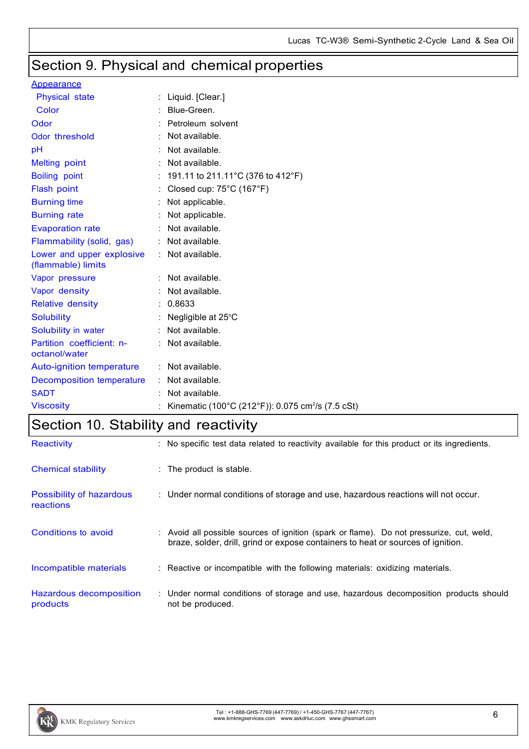# Section 9. Physical and chemical properties

#### **Appearance**

| <b>Physical state</b>                           | Liquid. [Clear.]                                              |
|-------------------------------------------------|---------------------------------------------------------------|
| Color                                           | Blue-Green.                                                   |
| Odor                                            | Petroleum solvent                                             |
| Odor threshold                                  | Not available.                                                |
| рH                                              | Not available.                                                |
| Melting point                                   | Not available.                                                |
| <b>Boiling point</b>                            | 191.11 to 211.11°C (376 to 412°F)                             |
| Flash point                                     | Closed cup: $75^{\circ}$ C (167 $^{\circ}$ F)                 |
| <b>Burning time</b>                             | Not applicable.                                               |
| <b>Burning rate</b>                             | Not applicable.                                               |
| <b>Evaporation rate</b>                         | Not available.                                                |
| Flammability (solid, gas)                       | Not available.                                                |
| Lower and upper explosive<br>(flammable) limits | Not available.                                                |
| Vapor pressure                                  | Not available.                                                |
| Vapor density                                   | Not available.                                                |
| <b>Relative density</b>                         | 0.8633                                                        |
| <b>Solubility</b>                               | Negligible at 25°C                                            |
| Solubility in water                             | Not available.                                                |
| Partition coefficient: n-<br>octanol/water      | Not available.                                                |
| Auto-ignition temperature                       | Not available.                                                |
| <b>Decomposition temperature</b>                | Not available.                                                |
| <b>SADT</b>                                     | Not available.                                                |
| <b>Viscosity</b>                                | Kinematic (100°C (212°F)): 0.075 cm <sup>2</sup> /s (7.5 cSt) |

# Section 10. Stability and reactivity

| <b>Reactivity</b>                     | : No specific test data related to reactivity available for this product or its ingredients.                                                                                 |
|---------------------------------------|------------------------------------------------------------------------------------------------------------------------------------------------------------------------------|
| Chemical stability                    | $\therefore$ The product is stable.                                                                                                                                          |
| Possibility of hazardous<br>reactions | : Under normal conditions of storage and use, hazardous reactions will not occur.                                                                                            |
| Conditions to avoid                   | : Avoid all possible sources of ignition (spark or flame). Do not pressurize, cut, weld,<br>braze, solder, drill, grind or expose containers to heat or sources of ignition. |
| Incompatible materials                | : Reactive or incompatible with the following materials: oxidizing materials.                                                                                                |
| Hazardous decomposition<br>products   | : Under normal conditions of storage and use, hazardous decomposition products should<br>not be produced.                                                                    |

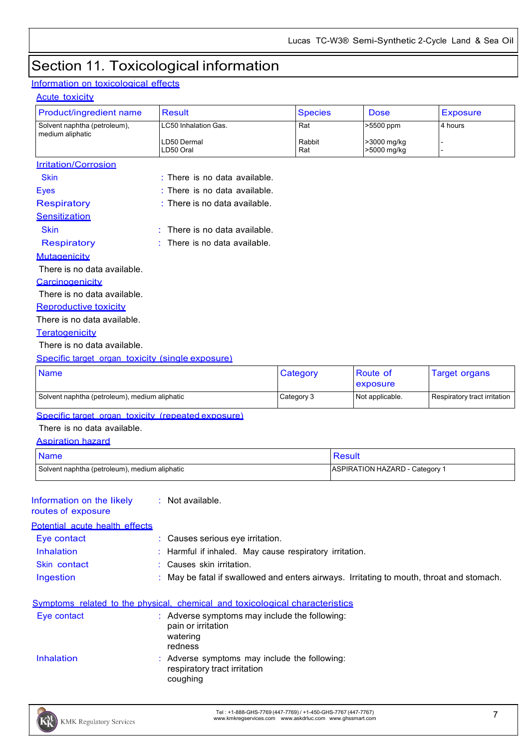# Section 11. Toxicological information

#### Information on toxicological effects

#### Acute toxicity

| nuutu tuniut v                                   |                                   |                |             |                 |
|--------------------------------------------------|-----------------------------------|----------------|-------------|-----------------|
| Product/ingredient name                          | <b>Result</b>                     | <b>Species</b> | <b>Dose</b> | <b>Exposure</b> |
| Solvent naphtha (petroleum),                     | LC50 Inhalation Gas.              | Rat            | >5500 ppm   | 4 hours         |
| medium aliphatic                                 | LD50 Dermal                       | Rabbit         | >3000 mg/kg |                 |
|                                                  | LD50 Oral                         | Rat            | >5000 mg/kg |                 |
| <b>Irritation/Corrosion</b>                      |                                   |                |             |                 |
| <b>Skin</b>                                      | $:$ There is no data available.   |                |             |                 |
| <b>Eyes</b>                                      | : There is no data available.     |                |             |                 |
| <b>Respiratory</b>                               | : There is no data available.     |                |             |                 |
| Sensitization                                    |                                   |                |             |                 |
| <b>Skin</b>                                      | $:$ There is no data available.   |                |             |                 |
| <b>Respiratory</b>                               | There is no data available.<br>÷. |                |             |                 |
| Mutagenicity                                     |                                   |                |             |                 |
| There is no data available.                      |                                   |                |             |                 |
| Carcinogenicity                                  |                                   |                |             |                 |
| There is no data available.                      |                                   |                |             |                 |
| <b>Reproductive toxicity</b>                     |                                   |                |             |                 |
| There is no data available.                      |                                   |                |             |                 |
| Teratogenicity                                   |                                   |                |             |                 |
| There is no data available.                      |                                   |                |             |                 |
| Specific target organ toxicity (single exposure) |                                   |                |             |                 |

| <b>Name</b>                                   | Category   | <b>Route of</b><br>exposure | Target organs                |
|-----------------------------------------------|------------|-----------------------------|------------------------------|
| Solvent naphtha (petroleum), medium aliphatic | Category 3 | Not applicable.             | Respiratory tract irritation |

Specific target organ toxicity (repeated exposure)

There is no data available.

Aspiration hazard

| <b>Name</b>                                   | Result                         |
|-----------------------------------------------|--------------------------------|
| Solvent naphtha (petroleum), medium aliphatic | ASPIRATION HAZARD - Category 1 |

| Information on the likely |
|---------------------------|
| routes of exposure        |

: Not available.

| <b>Potential acute health effects</b> |                                                                                          |
|---------------------------------------|------------------------------------------------------------------------------------------|
| Eye contact                           | : Causes serious eye irritation.                                                         |
| Inhalation                            | : Harmful if inhaled. May cause respiratory irritation.                                  |
| Skin contact                          | : Causes skin irritation.                                                                |
| Ingestion                             | : May be fatal if swallowed and enters airways. Irritating to mouth, throat and stomach. |
|                                       | Symptoms related to the physical, chemical and toxicological characteristics             |
| Eye contact                           | : Adverse symptoms may include the following:<br>pain or irritation                      |
|                                       | watering<br>redness                                                                      |
| Inhalation                            | : Adverse symptoms may include the following:<br>respiratory tract irritation            |



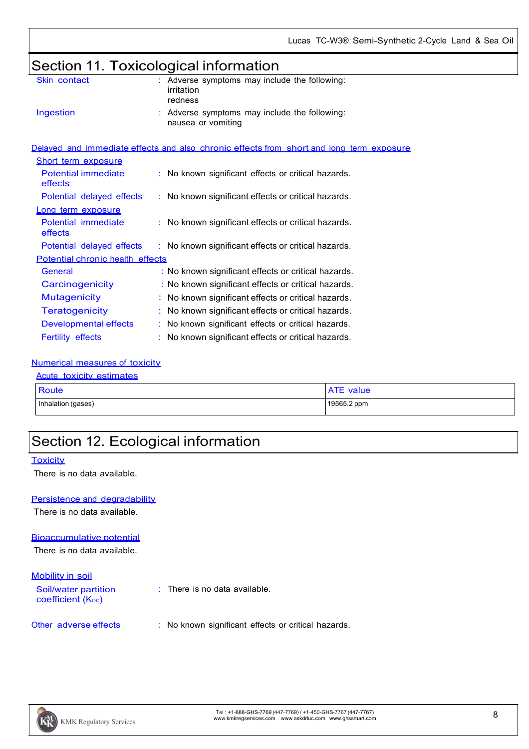# Section 11. Toxicological information

| Skin contact                          | : Adverse symptoms may include the following:<br>irritation<br>redness                   |
|---------------------------------------|------------------------------------------------------------------------------------------|
| Ingestion                             | : Adverse symptoms may include the following:<br>nausea or vomiting                      |
|                                       | Delayed and immediate effects and also chronic effects from short and long term exposure |
| <b>Short term exposure</b>            |                                                                                          |
| <b>Potential immediate</b><br>effects | : No known significant effects or critical hazards.                                      |
| Potential delayed effects             | : No known significant effects or critical hazards.                                      |
| Long term exposure                    |                                                                                          |
| Potential immediate<br>effects        | : No known significant effects or critical hazards.                                      |
| Potential delayed effects             | : No known significant effects or critical hazards.                                      |
| Potential chronic health effects      |                                                                                          |
| General                               | : No known significant effects or critical hazards.                                      |
| Carcinogenicity                       | : No known significant effects or critical hazards.                                      |
| <b>Mutagenicity</b>                   | : No known significant effects or critical hazards.                                      |
| <b>Teratogenicity</b>                 | : No known significant effects or critical hazards.                                      |
| Developmental effects                 | : No known significant effects or critical hazards.                                      |
| <b>Fertility effects</b>              | : No known significant effects or critical hazards.                                      |
|                                       |                                                                                          |

#### Numerical measures of toxicity

### Acute toxicity estimates Route ATE value Inhalation (gases) 19565.2 ppm

### Section 12. Ecological information

#### **Toxicity**

There is no data available.

#### Persistence and degradability

There is no data available.

#### Bioaccumulative potential

There is no data available.

#### Mobility in soil

Soil/water partition coefficient (Koc) : There is no data available.

#### Other adverse effects : No known significant effects or critical hazards.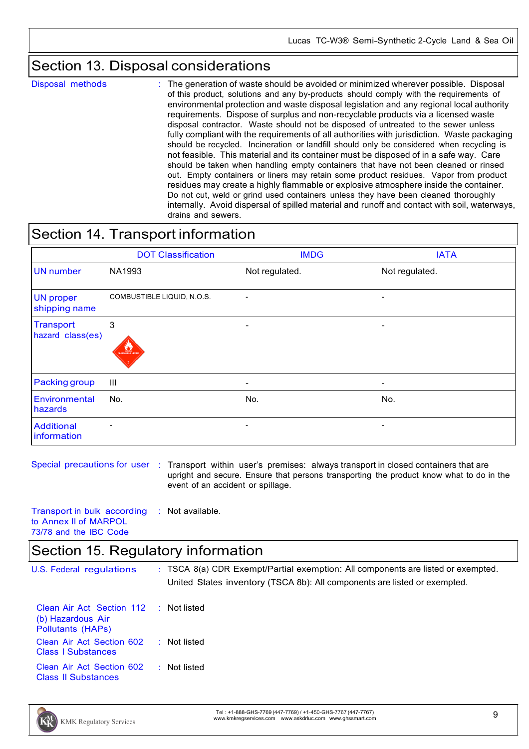### Section 13. Disposal considerations

Disposal methods : The generation of waste should be avoided or minimized wherever possible. Disposal of this product, solutions and any by-products should comply with the requirements of environmental protection and waste disposal legislation and any regional local authority requirements. Dispose of surplus and non-recyclable products via a licensed waste disposal contractor. Waste should not be disposed of untreated to the sewer unless fully compliant with the requirements of all authorities with jurisdiction. Waste packaging should be recycled. Incineration or landfill should only be considered when recycling is not feasible. This material and its container must be disposed of in a safe way. Care should be taken when handling empty containers that have not been cleaned or rinsed out. Empty containers or liners may retain some product residues. Vapor from product residues may create a highly flammable or explosive atmosphere inside the container. Do not cut, weld or grind used containers unless they have been cleaned thoroughly internally. Avoid dispersal of spilled material and runoff and contact with soil, waterways, drains and sewers.

### Section 14. Transport information

|                                      | <b>DOT Classification</b>           | <b>IMDG</b>              | <b>IATA</b>              |
|--------------------------------------|-------------------------------------|--------------------------|--------------------------|
| <b>UN</b> number                     | NA1993                              | Not regulated.           | Not regulated.           |
| <b>UN proper</b><br>shipping name    | COMBUSTIBLE LIQUID, N.O.S.          | -                        | $\overline{\phantom{a}}$ |
| <b>Transport</b><br>hazard class(es) | 3<br><b>LA PERSONAL DESCRIPTION</b> | $\overline{\phantom{a}}$ |                          |
| Packing group                        | $\mathbf{III}$                      | $\overline{\phantom{a}}$ | $\overline{\phantom{a}}$ |
| Environmental<br>hazards             | No.                                 | No.                      | No.                      |
| <b>Additional</b><br>information     | $\overline{\phantom{a}}$            | $\overline{\phantom{a}}$ | $\overline{\phantom{a}}$ |

Special precautions for user : Transport within user's premises: always transport in closed containers that are upright and secure. Ensure that persons transporting the product know what to do in the event of an accident or spillage.

Transport in bulk according to Annex II of MARPOL 73/78 and the IBC Code : Not available.

### Section 15. Regulatory information

U.S. Federal regulations : TSCA 8(a) CDR Exempt/Partial exemption: All components are listed or exempted. United States inventory (TSCA 8b): All components are listed or exempted. Clean Air Act Section 112 : Not listed

| (b) Hazardous Air<br><b>Pollutants (HAPs)</b>           |                |  |  |  |
|---------------------------------------------------------|----------------|--|--|--|
| Clean Air Act Section 602<br><b>Class   Substances</b>  | $:$ Not listed |  |  |  |
| Clean Air Act Section 602<br><b>Class II Substances</b> | : Not listed   |  |  |  |

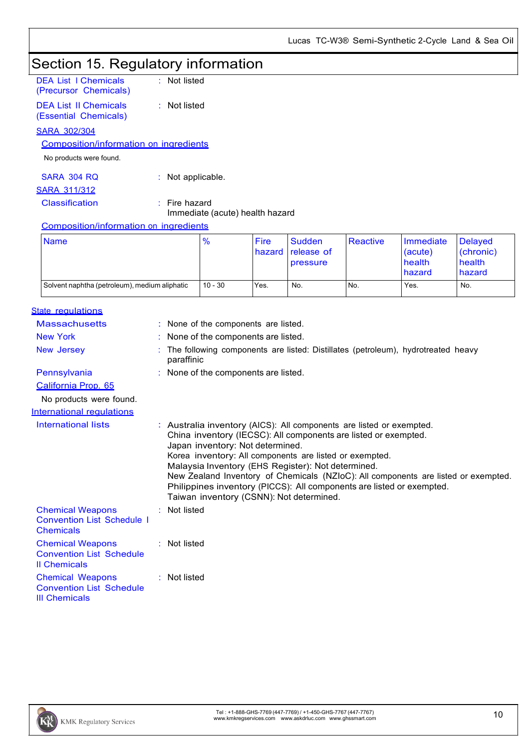#### Section 15. Regulatory information DEA List I Chemicals : Not listed

| осл сы топонкаю<br>(Precursor Chemicals)              | . 1100 11000                                       |
|-------------------------------------------------------|----------------------------------------------------|
| <b>DEA List II Chemicals</b><br>(Essential Chemicals) | $:$ Not listed                                     |
| SARA 302/304                                          |                                                    |
| <b>Composition/information on ingredients</b>         |                                                    |
| No products were found.                               |                                                    |
| SARA 304 RO                                           | $:$ Not applicable.                                |
| <b>SARA 311/312</b>                                   |                                                    |
| <b>Classification</b>                                 | $:$ Fire hazard<br>Immediate (acute) health hazard |
| Composition/information on ingredients                |                                                    |
|                                                       |                                                    |

| <b>Name</b>                                   | $\frac{9}{6}$ | <b>Fire</b><br><b>hazard</b> | <b>Sudden</b><br><b>release of</b><br><b>pressure</b> | Reactive | Immediate<br>(acute)<br>health<br>hazard | Delayed<br>(chronic)<br>health<br>hazard |
|-----------------------------------------------|---------------|------------------------------|-------------------------------------------------------|----------|------------------------------------------|------------------------------------------|
| Solvent naphtha (petroleum), medium aliphatic | $10 - 30$     | Yes.                         | No.                                                   | No.      | Yes.                                     | No.                                      |

| State regulations |  |
|-------------------|--|
|                   |  |

| <u> 1000 - 1000 1000 1000 100</u>                                                  |                                                                                                                                                                                                                                                                                                                                                                                                                                                                                                         |
|------------------------------------------------------------------------------------|---------------------------------------------------------------------------------------------------------------------------------------------------------------------------------------------------------------------------------------------------------------------------------------------------------------------------------------------------------------------------------------------------------------------------------------------------------------------------------------------------------|
| <b>Massachusetts</b>                                                               | : None of the components are listed.                                                                                                                                                                                                                                                                                                                                                                                                                                                                    |
| <b>New York</b>                                                                    | : None of the components are listed.                                                                                                                                                                                                                                                                                                                                                                                                                                                                    |
| New Jersey                                                                         | The following components are listed: Distillates (petroleum), hydrotreated heavy<br>paraffinic                                                                                                                                                                                                                                                                                                                                                                                                          |
| Pennsylvania                                                                       | : None of the components are listed.                                                                                                                                                                                                                                                                                                                                                                                                                                                                    |
| California Prop. 65                                                                |                                                                                                                                                                                                                                                                                                                                                                                                                                                                                                         |
| No products were found.                                                            |                                                                                                                                                                                                                                                                                                                                                                                                                                                                                                         |
| International regulations                                                          |                                                                                                                                                                                                                                                                                                                                                                                                                                                                                                         |
| International lists                                                                | : Australia inventory (AICS): All components are listed or exempted.<br>China inventory (IECSC): All components are listed or exempted.<br>Japan inventory: Not determined.<br>Korea inventory: All components are listed or exempted.<br>Malaysia Inventory (EHS Register): Not determined.<br>New Zealand Inventory of Chemicals (NZIoC): All components are listed or exempted.<br>Philippines inventory (PICCS): All components are listed or exempted.<br>Taiwan inventory (CSNN): Not determined. |
| <b>Chemical Weapons</b><br><b>Convention List Schedule I</b><br><b>Chemicals</b>   | : Not listed                                                                                                                                                                                                                                                                                                                                                                                                                                                                                            |
| <b>Chemical Weapons</b><br><b>Convention List Schedule</b><br><b>Il Chemicals</b>  | $:$ Not listed                                                                                                                                                                                                                                                                                                                                                                                                                                                                                          |
| <b>Chemical Weapons</b><br><b>Convention List Schedule</b><br><b>III Chemicals</b> | $:$ Not listed                                                                                                                                                                                                                                                                                                                                                                                                                                                                                          |
|                                                                                    |                                                                                                                                                                                                                                                                                                                                                                                                                                                                                                         |